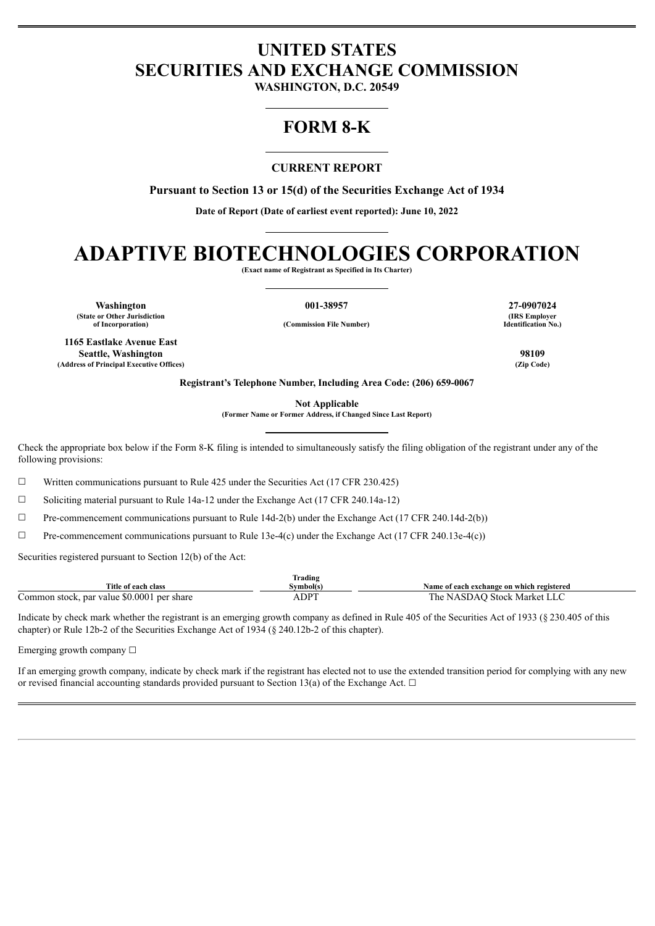# **UNITED STATES SECURITIES AND EXCHANGE COMMISSION**

**WASHINGTON, D.C. 20549**

## **FORM 8-K**

## **CURRENT REPORT**

**Pursuant to Section 13 or 15(d) of the Securities Exchange Act of 1934**

**Date of Report (Date of earliest event reported): June 10, 2022**

# **ADAPTIVE BIOTECHNOLOGIES CORPORATION**

**(Exact name of Registrant as Specified in Its Charter)**

**Washington 001-38957 27-0907024 (State or Other Jurisdiction**

**of Incorporation) (Commission File Number)**

**1165 Eastlake Avenue East Seattle, Washington 98109 (Address of Principal Executive Offices) (Zip Code)**

**(IRS Employer Identification No.)**

**Registrant's Telephone Number, Including Area Code: (206) 659-0067**

**Not Applicable**

**(Former Name or Former Address, if Changed Since Last Report)**

Check the appropriate box below if the Form 8-K filing is intended to simultaneously satisfy the filing obligation of the registrant under any of the following provisions:

 $\Box$  Written communications pursuant to Rule 425 under the Securities Act (17 CFR 230.425)

 $\Box$  Soliciting material pursuant to Rule 14a-12 under the Exchange Act (17 CFR 240.14a-12)

 $\Box$  Pre-commencement communications pursuant to Rule 14d-2(b) under the Exchange Act (17 CFR 240.14d-2(b))

 $\Box$  Pre-commencement communications pursuant to Rule 13e-4(c) under the Exchange Act (17 CFR 240.13e-4(c))

Securities registered pursuant to Section 12(b) of the Act:

| m.<br>Trading                              |           |                                           |  |  |
|--------------------------------------------|-----------|-------------------------------------------|--|--|
| Title of each class                        | svmbol(s) | Name of each exchange on which registered |  |  |
| Common stock, par value \$0.0001 per share | ADPT      | The NASDAO Stock Market LLC               |  |  |

Indicate by check mark whether the registrant is an emerging growth company as defined in Rule 405 of the Securities Act of 1933 (§ 230.405 of this chapter) or Rule 12b-2 of the Securities Exchange Act of 1934 (§ 240.12b-2 of this chapter).

Emerging growth company  $\Box$ 

If an emerging growth company, indicate by check mark if the registrant has elected not to use the extended transition period for complying with any new or revised financial accounting standards provided pursuant to Section 13(a) of the Exchange Act.  $\Box$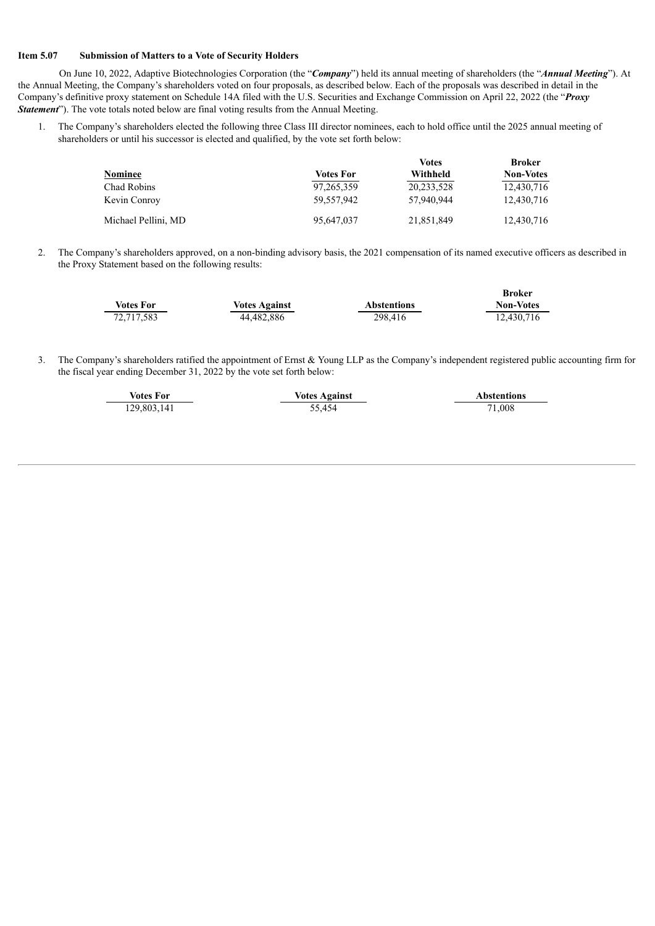#### **Item 5.07 Submission of Matters to a Vote of Security Holders**

J.

On June 10, 2022, Adaptive Biotechnologies Corporation (the "*Company*") held its annual meeting of shareholders (the "*Annual Meeting*"). At the Annual Meeting, the Company's shareholders voted on four proposals, as described below. Each of the proposals was described in detail in the Company's definitive proxy statement on Schedule 14A filed with the U.S. Securities and Exchange Commission on April 22, 2022 (the "*Proxy Statement*"). The vote totals noted below are final voting results from the Annual Meeting.

1. The Company's shareholders elected the following three Class III director nominees, each to hold office until the 2025 annual meeting of shareholders or until his successor is elected and qualified, by the vote set forth below:

|                     |                  | <b>Votes</b> | <b>Broker</b>    |
|---------------------|------------------|--------------|------------------|
| Nominee             | <b>Votes For</b> | Withheld     | <b>Non-Votes</b> |
| Chad Robins         | 97, 265, 359     | 20,233,528   | 12,430,716       |
| Kevin Conroy        | 59,557,942       | 57,940,944   | 12,430,716       |
| Michael Pellini, MD | 95,647,037       | 21,851,849   | 12,430,716       |

2. The Company's shareholders approved, on a non-binding advisory basis, the 2021 compensation of its named executive officers as described in the Proxy Statement based on the following results:

|                  |                      |                    | Broker           |
|------------------|----------------------|--------------------|------------------|
| <b>Votes For</b> | <b>Votes Against</b> | <b>Abstentions</b> | <b>Non-Votes</b> |
| 72,717,583       | 44.482.886           | 298.416            | 12.430.716       |

3. The Company's shareholders ratified the appointment of Ernst & Young LLP as the Company's independent registered public accounting firm for the fiscal year ending December 31, 2022 by the vote set forth below:

| <b>Votes For</b> | <b>Votes Against</b> | <b>Abstentions</b> |  |
|------------------|----------------------|--------------------|--|
| 129,803,141      | 55.454               | 71.008             |  |